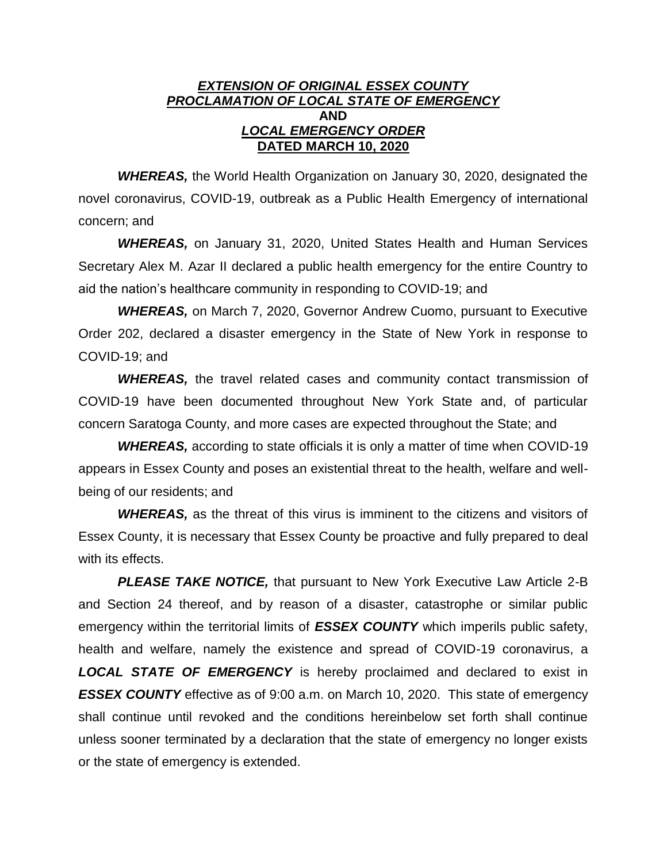## *EXTENSION OF ORIGINAL ESSEX COUNTY PROCLAMATION OF LOCAL STATE OF EMERGENCY* **AND** *LOCAL EMERGENCY ORDER* **DATED MARCH 10, 2020**

*WHEREAS,* the World Health Organization on January 30, 2020, designated the novel coronavirus, COVID-19, outbreak as a Public Health Emergency of international concern; and

*WHEREAS,* on January 31, 2020, United States Health and Human Services Secretary Alex M. Azar II declared a public health emergency for the entire Country to aid the nation's healthcare community in responding to COVID-19; and

*WHEREAS,* on March 7, 2020, Governor Andrew Cuomo, pursuant to Executive Order 202, declared a disaster emergency in the State of New York in response to COVID-19; and

**WHEREAS,** the travel related cases and community contact transmission of COVID-19 have been documented throughout New York State and, of particular concern Saratoga County, and more cases are expected throughout the State; and

*WHEREAS,* according to state officials it is only a matter of time when COVID-19 appears in Essex County and poses an existential threat to the health, welfare and wellbeing of our residents; and

**WHEREAS,** as the threat of this virus is imminent to the citizens and visitors of Essex County, it is necessary that Essex County be proactive and fully prepared to deal with its effects.

*PLEASE TAKE NOTICE,* that pursuant to New York Executive Law Article 2-B and Section 24 thereof, and by reason of a disaster, catastrophe or similar public emergency within the territorial limits of *ESSEX COUNTY* which imperils public safety, health and welfare, namely the existence and spread of COVID-19 coronavirus, a *LOCAL STATE OF EMERGENCY* is hereby proclaimed and declared to exist in **ESSEX COUNTY** effective as of 9:00 a.m. on March 10, 2020. This state of emergency shall continue until revoked and the conditions hereinbelow set forth shall continue unless sooner terminated by a declaration that the state of emergency no longer exists or the state of emergency is extended.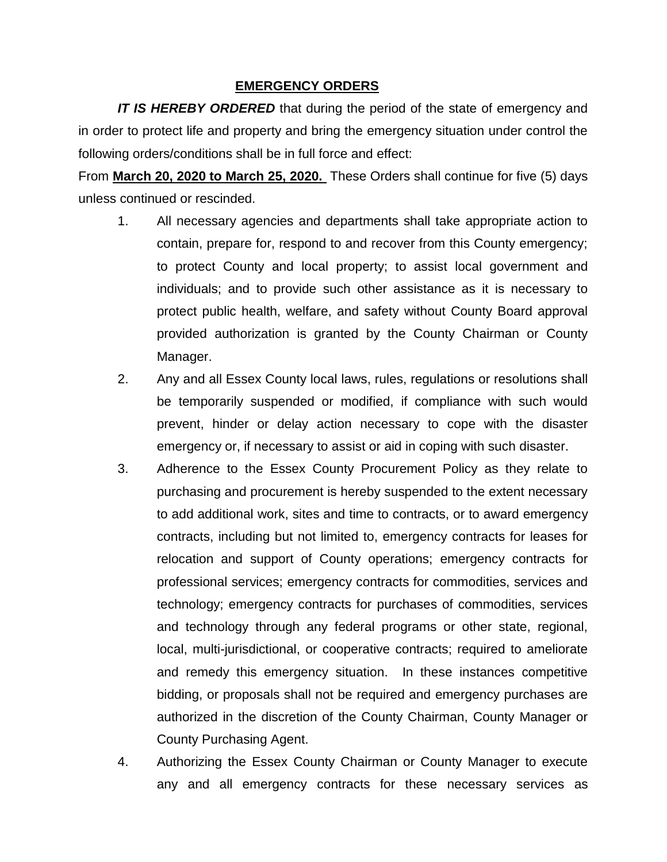## **EMERGENCY ORDERS**

*IT IS HEREBY ORDERED* that during the period of the state of emergency and in order to protect life and property and bring the emergency situation under control the following orders/conditions shall be in full force and effect:

From **March 20, 2020 to March 25, 2020.** These Orders shall continue for five (5) days unless continued or rescinded.

- 1. All necessary agencies and departments shall take appropriate action to contain, prepare for, respond to and recover from this County emergency; to protect County and local property; to assist local government and individuals; and to provide such other assistance as it is necessary to protect public health, welfare, and safety without County Board approval provided authorization is granted by the County Chairman or County Manager.
- 2. Any and all Essex County local laws, rules, regulations or resolutions shall be temporarily suspended or modified, if compliance with such would prevent, hinder or delay action necessary to cope with the disaster emergency or, if necessary to assist or aid in coping with such disaster.
- 3. Adherence to the Essex County Procurement Policy as they relate to purchasing and procurement is hereby suspended to the extent necessary to add additional work, sites and time to contracts, or to award emergency contracts, including but not limited to, emergency contracts for leases for relocation and support of County operations; emergency contracts for professional services; emergency contracts for commodities, services and technology; emergency contracts for purchases of commodities, services and technology through any federal programs or other state, regional, local, multi-jurisdictional, or cooperative contracts; required to ameliorate and remedy this emergency situation. In these instances competitive bidding, or proposals shall not be required and emergency purchases are authorized in the discretion of the County Chairman, County Manager or County Purchasing Agent.
- 4. Authorizing the Essex County Chairman or County Manager to execute any and all emergency contracts for these necessary services as